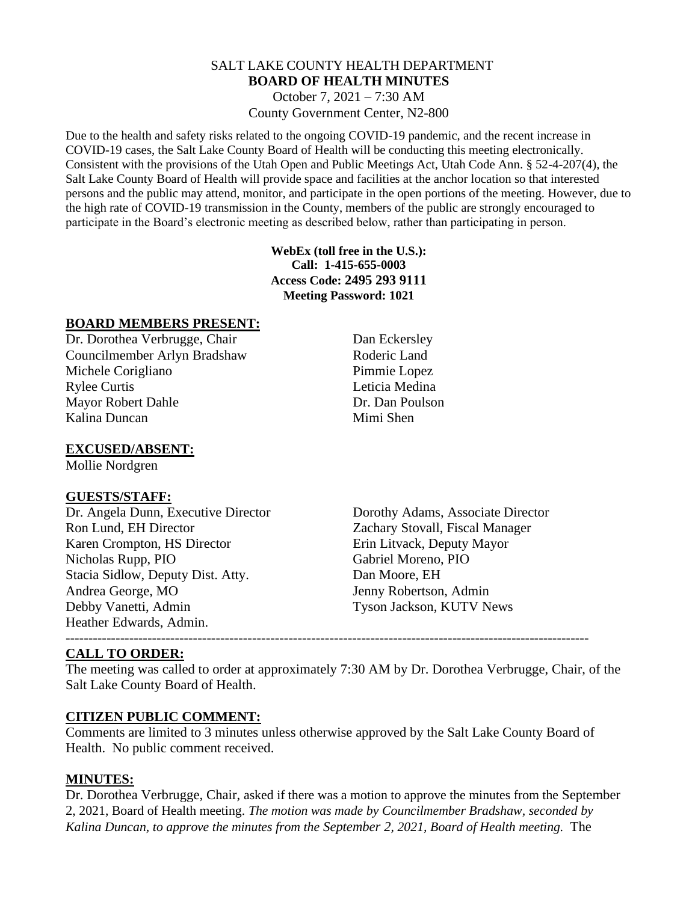# SALT LAKE COUNTY HEALTH DEPARTMENT **BOARD OF HEALTH MINUTES**

October 7, 2021 – 7:30 AM County Government Center, N2-800

Due to the health and safety risks related to the ongoing COVID-19 pandemic, and the recent increase in COVID-19 cases, the Salt Lake County Board of Health will be conducting this meeting electronically. Consistent with the provisions of the Utah Open and Public Meetings Act, Utah Code Ann. § 52-4-207(4), the Salt Lake County Board of Health will provide space and facilities at the anchor location so that interested persons and the public may attend, monitor, and participate in the open portions of the meeting. However, due to the high rate of COVID-19 transmission in the County, members of the public are strongly encouraged to participate in the Board's electronic meeting as described below, rather than participating in person.

> **WebEx (toll free in the U.S.): Call: 1-415-655-0003 Access Code: 2495 293 9111 Meeting Password: 1021**

### **BOARD MEMBERS PRESENT:**

Dr. Dorothea Verbrugge, Chair Dan Eckersley Councilmember Arlyn Bradshaw Roderic Land Michele Corigliano Pimmie Lopez Rylee Curtis Leticia Medina Mayor Robert Dahle Dr. Dan Poulson Kalina Duncan Mimi Shen

**EXCUSED/ABSENT:**

Mollie Nordgren

#### **GUESTS/STAFF:**

Dr. Angela Dunn, Executive Director Dorothy Adams, Associate Director Ron Lund, EH Director Zachary Stovall, Fiscal Manager Karen Crompton, HS Director Erin Litvack, Deputy Mayor Nicholas Rupp, PIO Gabriel Moreno, PIO Stacia Sidlow, Deputy Dist. Atty. Dan Moore, EH Andrea George, MO Jenny Robertson, Admin Debby Vanetti, Admin Tyson Jackson, KUTV News Heather Edwards, Admin.

#### ------------------------------------------------------------------------------------------------------------------- **CALL TO ORDER:**

The meeting was called to order at approximately 7:30 AM by Dr. Dorothea Verbrugge, Chair, of the Salt Lake County Board of Health.

# **CITIZEN PUBLIC COMMENT:**

Comments are limited to 3 minutes unless otherwise approved by the Salt Lake County Board of Health. No public comment received.

# **MINUTES:**

Dr. Dorothea Verbrugge, Chair, asked if there was a motion to approve the minutes from the September 2, 2021, Board of Health meeting. *The motion was made by Councilmember Bradshaw, seconded by Kalina Duncan, to approve the minutes from the September 2, 2021, Board of Health meeting.* The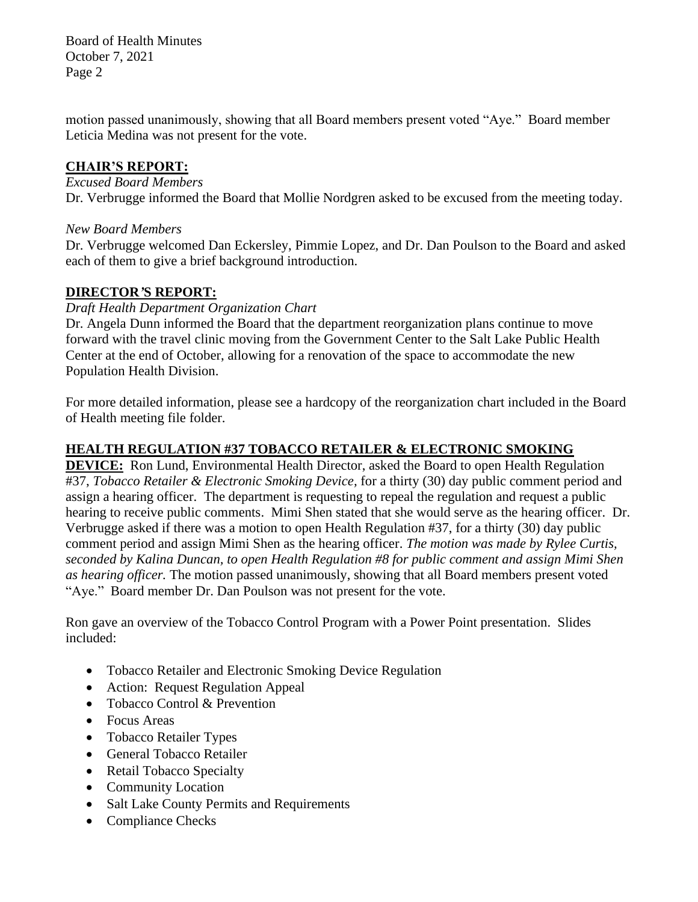Board of Health Minutes October 7, 2021 Page 2

motion passed unanimously, showing that all Board members present voted "Aye." Board member Leticia Medina was not present for the vote.

### **CHAIR'S REPORT:**

#### *Excused Board Members*

Dr. Verbrugge informed the Board that Mollie Nordgren asked to be excused from the meeting today.

### *New Board Members*

Dr. Verbrugge welcomed Dan Eckersley, Pimmie Lopez, and Dr. Dan Poulson to the Board and asked each of them to give a brief background introduction.

# **DIRECTOR***'***S REPORT:**

### *Draft Health Department Organization Chart*

Dr. Angela Dunn informed the Board that the department reorganization plans continue to move forward with the travel clinic moving from the Government Center to the Salt Lake Public Health Center at the end of October, allowing for a renovation of the space to accommodate the new Population Health Division.

For more detailed information, please see a hardcopy of the reorganization chart included in the Board of Health meeting file folder.

# **HEALTH REGULATION #37 TOBACCO RETAILER & ELECTRONIC SMOKING**

**DEVICE:** Ron Lund, Environmental Health Director, asked the Board to open Health Regulation #37, *Tobacco Retailer & Electronic Smoking Device,* for a thirty (30) day public comment period and assign a hearing officer. The department is requesting to repeal the regulation and request a public hearing to receive public comments. Mimi Shen stated that she would serve as the hearing officer. Dr. Verbrugge asked if there was a motion to open Health Regulation #37, for a thirty (30) day public comment period and assign Mimi Shen as the hearing officer. *The motion was made by Rylee Curtis, seconded by Kalina Duncan, to open Health Regulation #8 for public comment and assign Mimi Shen as hearing officer.* The motion passed unanimously, showing that all Board members present voted "Aye." Board member Dr. Dan Poulson was not present for the vote.

Ron gave an overview of the Tobacco Control Program with a Power Point presentation. Slides included:

- Tobacco Retailer and Electronic Smoking Device Regulation
- Action: Request Regulation Appeal
- Tobacco Control & Prevention
- Focus Areas
- Tobacco Retailer Types
- General Tobacco Retailer
- Retail Tobacco Specialty
- Community Location
- Salt Lake County Permits and Requirements
- Compliance Checks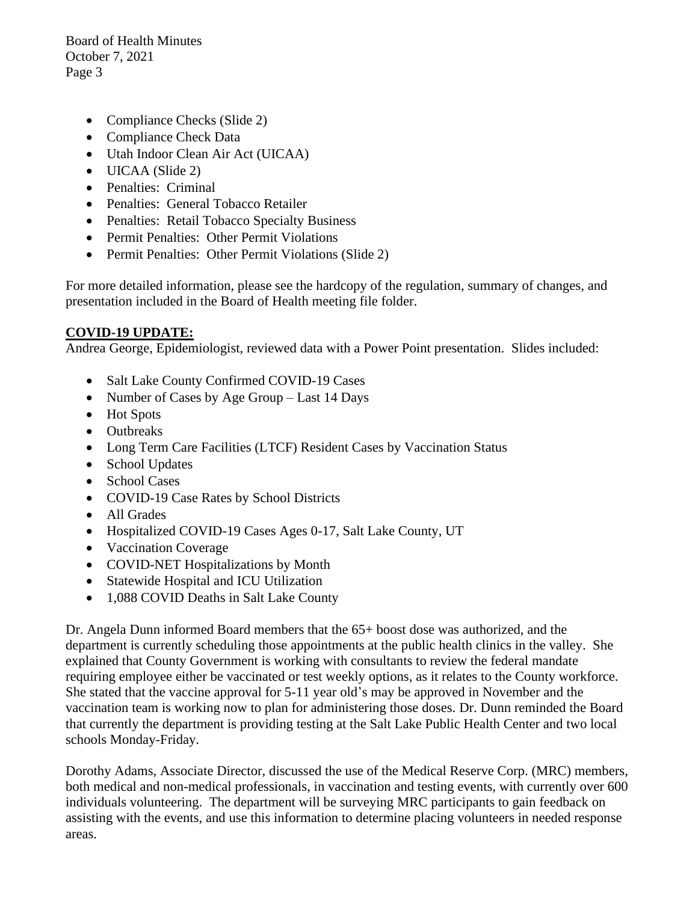Board of Health Minutes October 7, 2021 Page 3

- Compliance Checks (Slide 2)
- Compliance Check Data
- Utah Indoor Clean Air Act (UICAA)
- UICAA (Slide 2)
- Penalties: Criminal
- Penalties: General Tobacco Retailer
- Penalties: Retail Tobacco Specialty Business
- Permit Penalties: Other Permit Violations
- Permit Penalties: Other Permit Violations (Slide 2)

For more detailed information, please see the hardcopy of the regulation, summary of changes, and presentation included in the Board of Health meeting file folder.

# **COVID-19 UPDATE:**

Andrea George, Epidemiologist, reviewed data with a Power Point presentation. Slides included:

- Salt Lake County Confirmed COVID-19 Cases
- Number of Cases by Age Group Last 14 Days
- Hot Spots
- Outbreaks
- Long Term Care Facilities (LTCF) Resident Cases by Vaccination Status
- School Updates
- School Cases
- COVID-19 Case Rates by School Districts
- All Grades
- Hospitalized COVID-19 Cases Ages 0-17, Salt Lake County, UT
- Vaccination Coverage
- COVID-NET Hospitalizations by Month
- Statewide Hospital and ICU Utilization
- 1,088 COVID Deaths in Salt Lake County

Dr. Angela Dunn informed Board members that the 65+ boost dose was authorized, and the department is currently scheduling those appointments at the public health clinics in the valley. She explained that County Government is working with consultants to review the federal mandate requiring employee either be vaccinated or test weekly options, as it relates to the County workforce. She stated that the vaccine approval for 5-11 year old's may be approved in November and the vaccination team is working now to plan for administering those doses. Dr. Dunn reminded the Board that currently the department is providing testing at the Salt Lake Public Health Center and two local schools Monday-Friday.

Dorothy Adams, Associate Director, discussed the use of the Medical Reserve Corp. (MRC) members, both medical and non-medical professionals, in vaccination and testing events, with currently over 600 individuals volunteering. The department will be surveying MRC participants to gain feedback on assisting with the events, and use this information to determine placing volunteers in needed response areas.